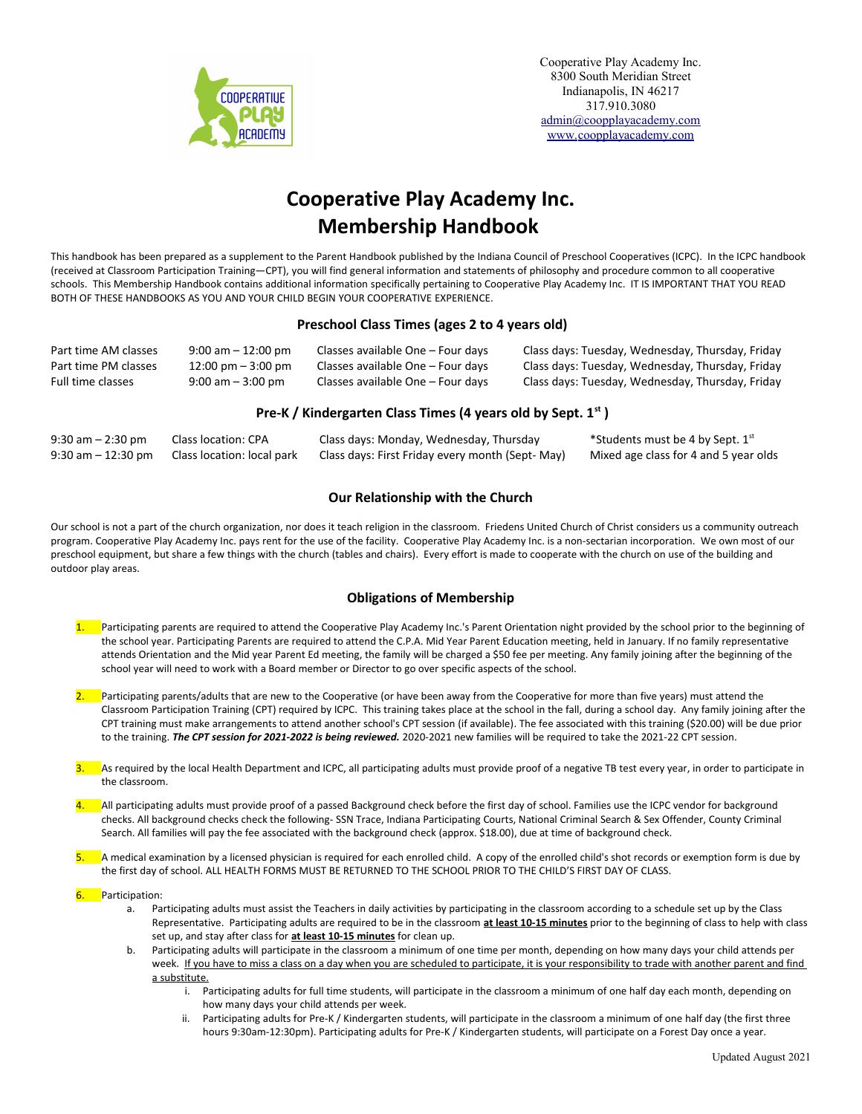

# **Cooperative Play Academy Inc. Membership Handbook**

This handbook has been prepared as a supplement to the Parent Handbook published by the Indiana Council of Preschool Cooperatives (ICPC). In the ICPC handbook (received at Classroom Participation Training—CPT), you will find general information and statements of philosophy and procedure common to all cooperative schools. This Membership Handbook contains additional information specifically pertaining to Cooperative Play Academy Inc. IT IS IMPORTANT THAT YOU READ BOTH OF THESE HANDBOOKS AS YOU AND YOUR CHILD BEGIN YOUR COOPERATIVE EXPERIENCE.

# **Preschool Class Times (ages 2 to 4 years old)**

| Part time AM classes | $9:00$ am $-12:00$ pm                | Classes available One – Four days | Class days: Tuesday, Wednesday, Thursday, Friday |
|----------------------|--------------------------------------|-----------------------------------|--------------------------------------------------|
| Part time PM classes | $12:00 \text{ pm} - 3:00 \text{ pm}$ | Classes available One – Four davs | Class days: Tuesday, Wednesday, Thursday, Friday |
| Full time classes    | $9:00$ am $-3:00$ pm                 | Classes available One – Four days | Class days: Tuesday, Wednesday, Thursday, Friday |

# **Pre-K / Kindergarten Class Times (4 years old by Sept. 1st )**

| $9:30$ am $-2:30$ pm  | Class location: CPA        | Class days: Monday, Wednesday, Thursday          | *Students must be 4 by Sept. 1st      |
|-----------------------|----------------------------|--------------------------------------------------|---------------------------------------|
| $9:30$ am $-12:30$ pm | Class location: local park | Class days: First Friday every month (Sept- May) | Mixed age class for 4 and 5 year olds |

# **Our Relationship with the Church**

Our school is not a part of the church organization, nor does it teach religion in the classroom. Friedens United Church of Christ considers us a community outreach program. Cooperative Play Academy Inc. pays rent for the use of the facility. Cooperative Play Academy Inc. is a non-sectarian incorporation. We own most of our preschool equipment, but share a few things with the church (tables and chairs). Every effort is made to cooperate with the church on use of the building and outdoor play areas.

# **Obligations of Membership**

- 1. Participating parents are required to attend the Cooperative Play Academy Inc.'s Parent Orientation night provided by the school prior to the beginning of the school year. Participating Parents are required to attend the C.P.A. Mid Year Parent Education meeting, held in January. If no family representative attends Orientation and the Mid year Parent Ed meeting, the family will be charged a \$50 fee per meeting. Any family joining after the beginning of the school year will need to work with a Board member or Director to go over specific aspects of the school.
- 2. Participating parents/adults that are new to the Cooperative (or have been away from the Cooperative for more than five years) must attend the Classroom Participation Training (CPT) required by ICPC. This training takes place at the school in the fall, during a school day. Any family joining after the CPT training must make arrangements to attend another school's CPT session (if available). The fee associated with this training (\$20.00) will be due prior to the training. *The CPT session for 2021-2022 is being reviewed.* 2020-2021 new families will be required to take the 2021-22 CPT session.
- <sup>2</sup> As required by the local Health Department and ICPC, all participating adults must provide proof of a negative TB test every year, in order to participate in the classroom.
- 4. All participating adults must provide proof of a passed Background check before the first day of school. Families use the ICPC vendor for background checks. All background checks check the following- SSN Trace, Indiana Participating Courts, National Criminal Search & Sex Offender, County Criminal Search. All families will pay the fee associated with the background check (approx. \$18.00), due at time of background check.
- 5. A medical examination by a licensed physician is required for each enrolled child. A copy of the enrolled child's shot records or exemption form is due by the first day of school. ALL HEALTH FORMS MUST BE RETURNED TO THE SCHOOL PRIOR TO THE CHILD'S FIRST DAY OF CLASS.
- 6. Participation:
	- a. Participating adults must assist the Teachers in daily activities by participating in the classroom according to a schedule set up by the Class Representative. Participating adults are required to be in the classroom **at least 10-15 minutes** prior to the beginning of class to help with class set up, and stay after class for **at least 10-15 minutes** for clean up.
	- b. Participating adults will participate in the classroom a minimum of one time per month, depending on how many days your child attends per week. If you have to miss a class on a day when you are scheduled to participate, it is your responsibility to trade with another parent and find a substitute.
		- i. Participating adults for full time students, will participate in the classroom a minimum of one half day each month, depending on how many days your child attends per week.
		- ii. Participating adults for Pre-K / Kindergarten students, will participate in the classroom a minimum of one half day (the first three hours 9:30am-12:30pm). Participating adults for Pre-K / Kindergarten students, will participate on a Forest Day once a year.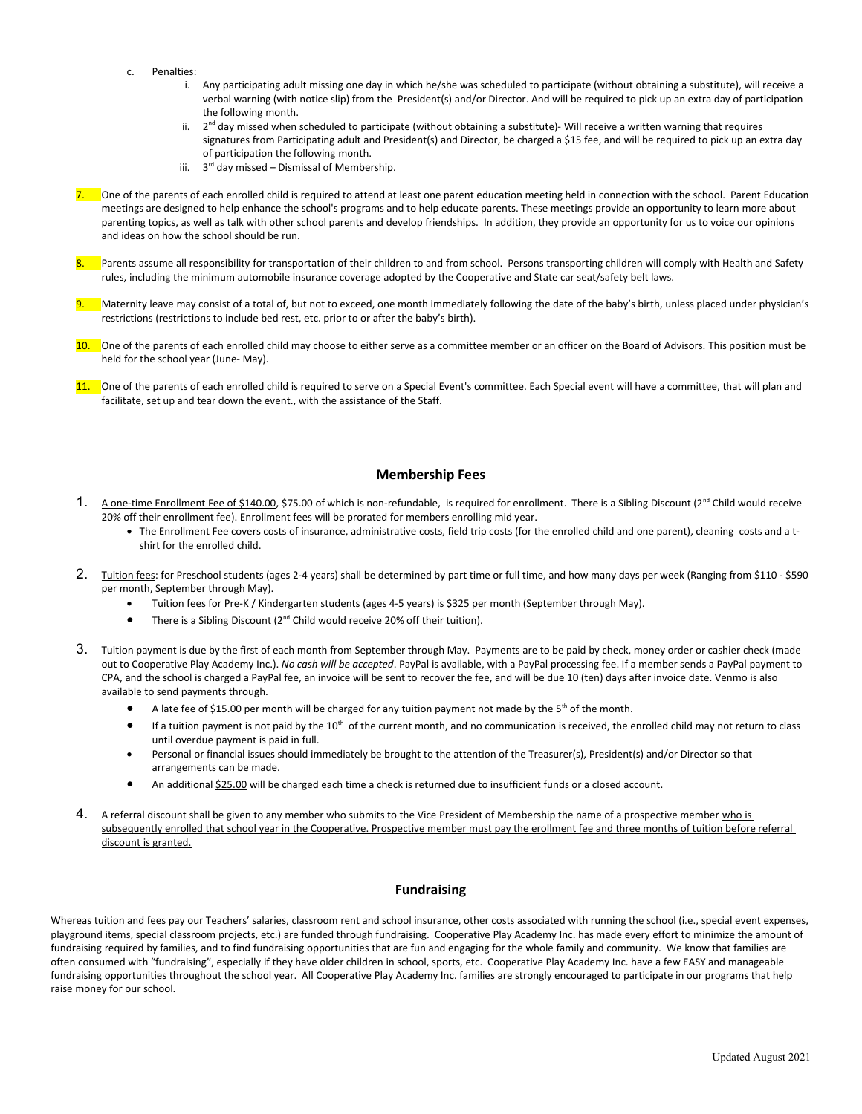- c. Penalties:
	- i. Any participating adult missing one day in which he/she was scheduled to participate (without obtaining a substitute), will receive a verbal warning (with notice slip) from the President(s) and/or Director. And will be required to pick up an extra day of participation the following month.
	- ii. 2<sup>nd</sup> day missed when scheduled to participate (without obtaining a substitute)- Will receive a written warning that requires signatures from Participating adult and President(s) and Director, be charged a \$15 fee, and will be required to pick up an extra day of participation the following month.
	- iii. 3<sup>rd</sup> day missed Dismissal of Membership.
- 7. One of the parents of each enrolled child is required to attend at least one parent education meeting held in connection with the school. Parent Education meetings are designed to help enhance the school's programs and to help educate parents. These meetings provide an opportunity to learn more about parenting topics, as well as talk with other school parents and develop friendships. In addition, they provide an opportunity for us to voice our opinions and ideas on how the school should be run.
- Parents assume all responsibility for transportation of their children to and from school. Persons transporting children will comply with Health and Safety rules, including the minimum automobile insurance coverage adopted by the Cooperative and State car seat/safety belt laws.
- Maternity leave may consist of a total of, but not to exceed, one month immediately following the date of the baby's birth, unless placed under physician's restrictions (restrictions to include bed rest, etc. prior to or after the baby's birth).
- 10. One of the parents of each enrolled child may choose to either serve as a committee member or an officer on the Board of Advisors. This position must be held for the school year (June- May).
- 11. One of the parents of each enrolled child is required to serve on a Special Event's committee. Each Special event will have a committee, that will plan and facilitate, set up and tear down the event., with the assistance of the Staff.

## **Membership Fees**

- 1. A one-time Enrollment Fee of \$140.00, \$75.00 of which is non-refundable, is required for enrollment. There is a Sibling Discount (2<sup>nd</sup> Child would receive 20% off their enrollment fee). Enrollment fees will be prorated for members enrolling mid year.
	- The Enrollment Fee covers costs of insurance, administrative costs, field trip costs (for the enrolled child and one parent), cleaning costs and a tshirt for the enrolled child.
- 2. Tuition fees: for Preschool students (ages 2-4 years) shall be determined by part time or full time, and how many days per week (Ranging from \$110 \$590 per month, September through May).
	- Tuition fees for Pre-K / Kindergarten students (ages 4-5 years) is \$325 per month (September through May).
	- There is a Sibling Discount (2<sup>nd</sup> Child would receive 20% off their tuition).
- 3. Tuition payment is due by the first of each month from September through May. Payments are to be paid by check, money order or cashier check (made out to Cooperative Play Academy Inc.). *No cash will be accepted*. PayPal is available, with a PayPal processing fee. If a member sends a PayPal payment to CPA, and the school is charged a PayPal fee, an invoice will be sent to recover the fee, and will be due 10 (ten) days after invoice date. Venmo is also available to send payments through.
	- A late fee of \$15.00 per month will be charged for any tuition payment not made by the  $5<sup>th</sup>$  of the month.
	- If a tuition payment is not paid by the 10<sup>th</sup> of the current month, and no communication is received, the enrolled child may not return to class until overdue payment is paid in full.
	- Personal or financial issues should immediately be brought to the attention of the Treasurer(s), President(s) and/or Director so that arrangements can be made.
	- An additional \$25.00 will be charged each time a check is returned due to insufficient funds or a closed account.
- 4. A referral discount shall be given to any member who submits to the Vice President of Membership the name of a prospective member who is subsequently enrolled that school year in the Cooperative. Prospective member must pay the erollment fee and three months of tuition before referral discount is granted.

# **Fundraising**

Whereas tuition and fees pay our Teachers' salaries, classroom rent and school insurance, other costs associated with running the school (i.e., special event expenses, playground items, special classroom projects, etc.) are funded through fundraising. Cooperative Play Academy Inc. has made every effort to minimize the amount of fundraising required by families, and to find fundraising opportunities that are fun and engaging for the whole family and community. We know that families are often consumed with "fundraising", especially if they have older children in school, sports, etc. Cooperative Play Academy Inc. have a few EASY and manageable fundraising opportunities throughout the school year. All Cooperative Play Academy Inc. families are strongly encouraged to participate in our programs that help raise money for our school.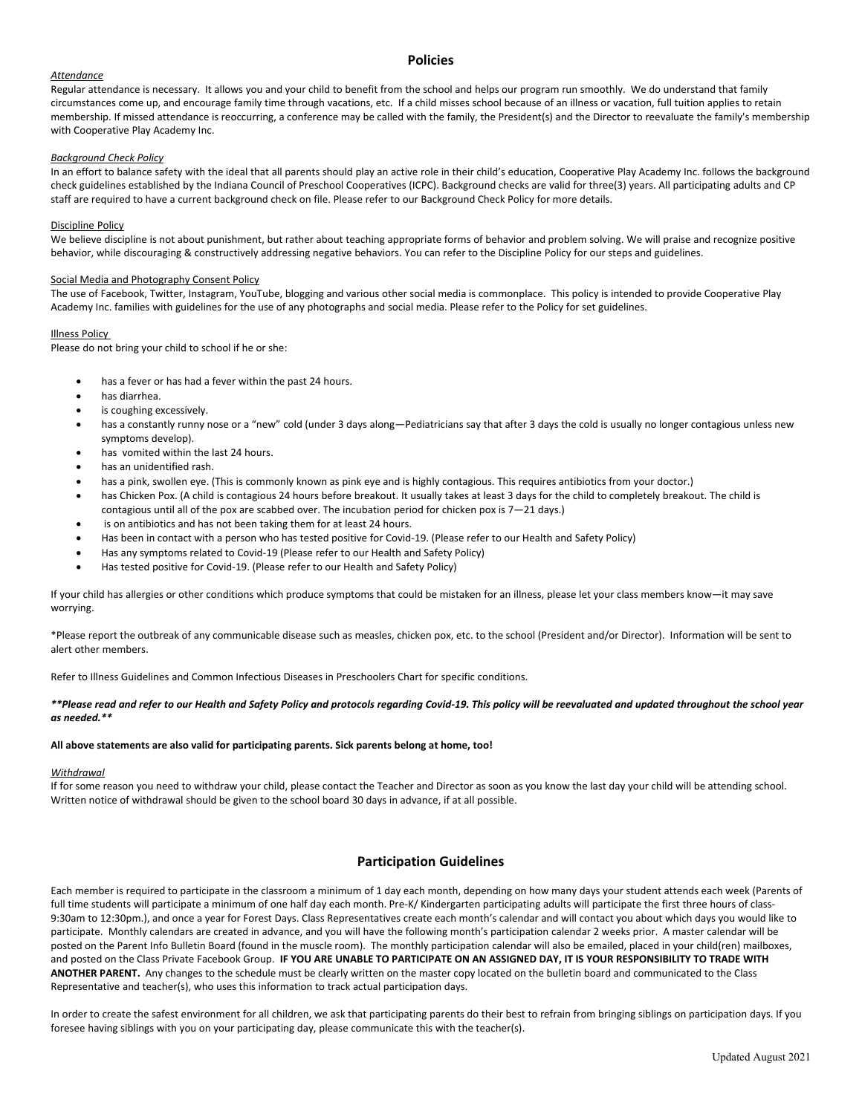## **Policies**

## *Attendance*

Regular attendance is necessary. It allows you and your child to benefit from the school and helps our program run smoothly. We do understand that family circumstances come up, and encourage family time through vacations, etc. If a child misses school because of an illness or vacation, full tuition applies to retain membership. If missed attendance is reoccurring, a conference may be called with the family, the President(s) and the Director to reevaluate the family's membership with Cooperative Play Academy Inc.

#### *Background Check Policy*

In an effort to balance safety with the ideal that all parents should play an active role in their child's education, Cooperative Play Academy Inc. follows the background check guidelines established by the Indiana Council of Preschool Cooperatives (ICPC). Background checks are valid for three(3) years. All participating adults and CP staff are required to have a current background check on file. Please refer to our Background Check Policy for more details.

#### Discipline Policy

We believe discipline is not about punishment, but rather about teaching appropriate forms of behavior and problem solving. We will praise and recognize positive behavior, while discouraging & constructively addressing negative behaviors. You can refer to the Discipline Policy for our steps and guidelines.

#### Social Media and Photography Consent Policy

The use of Facebook, Twitter, Instagram, YouTube, blogging and various other social media is commonplace. This policy is intended to provide Cooperative Play Academy Inc. families with guidelines for the use of any photographs and social media. Please refer to the Policy for set guidelines.

## Illness Policy

Please do not bring your child to school if he or she:

- has a fever or has had a fever within the past 24 hours.
- has diarrhea.
- is coughing excessively.
- has a constantly runny nose or a "new" cold (under 3 days along—Pediatricians say that after 3 days the cold is usually no longer contagious unless new symptoms develop).
- has vomited within the last 24 hours.
- has an unidentified rash.
- has a pink, swollen eye. (This is commonly known as pink eye and is highly contagious. This requires antibiotics from your doctor.)
- has Chicken Pox. (A child is contagious 24 hours before breakout. It usually takes at least 3 days for the child to completely breakout. The child is contagious until all of the pox are scabbed over. The incubation period for chicken pox is 7—21 days.)
- is on antibiotics and has not been taking them for at least 24 hours.
- Has been in contact with a person who has tested positive for Covid-19. (Please refer to our Health and Safety Policy)
- Has any symptoms related to Covid-19 (Please refer to our Health and Safety Policy)
- Has tested positive for Covid-19. (Please refer to our Health and Safety Policy)

If your child has allergies or other conditions which produce symptoms that could be mistaken for an illness, please let your class members know—it may save worrying.

\*Please report the outbreak of any communicable disease such as measles, chicken pox, etc. to the school (President and/or Director). Information will be sent to alert other members.

Refer to Illness Guidelines and Common Infectious Diseases in Preschoolers Chart for specific conditions.

## *\*\*Please read and refer to our Health and Safety Policy and protocols regarding Covid-19. This policy will be reevaluated and updated throughout the school year as needed.\*\**

#### **All above statements are also valid for participating parents. Sick parents belong at home, too!**

#### *Withdrawal*

If for some reason you need to withdraw your child, please contact the Teacher and Director as soon as you know the last day your child will be attending school. Written notice of withdrawal should be given to the school board 30 days in advance, if at all possible.

# **Participation Guidelines**

Each member is required to participate in the classroom a minimum of 1 day each month, depending on how many days your student attends each week (Parents of full time students will participate a minimum of one half day each month. Pre-K/ Kindergarten participating adults will participate the first three hours of class-9:30am to 12:30pm.), and once a year for Forest Days. Class Representatives create each month's calendar and will contact you about which days you would like to participate. Monthly calendars are created in advance, and you will have the following month's participation calendar 2 weeks prior. A master calendar will be posted on the Parent Info Bulletin Board (found in the muscle room). The monthly participation calendar will also be emailed, placed in your child(ren) mailboxes, and posted on the Class Private Facebook Group. **IF YOU ARE UNABLE TO PARTICIPATE ON AN ASSIGNED DAY, IT IS YOUR RESPONSIBILITY TO TRADE WITH ANOTHER PARENT.** Any changes to the schedule must be clearly written on the master copy located on the bulletin board and communicated to the Class Representative and teacher(s), who uses this information to track actual participation days.

In order to create the safest environment for all children, we ask that participating parents do their best to refrain from bringing siblings on participation days. If you foresee having siblings with you on your participating day, please communicate this with the teacher(s).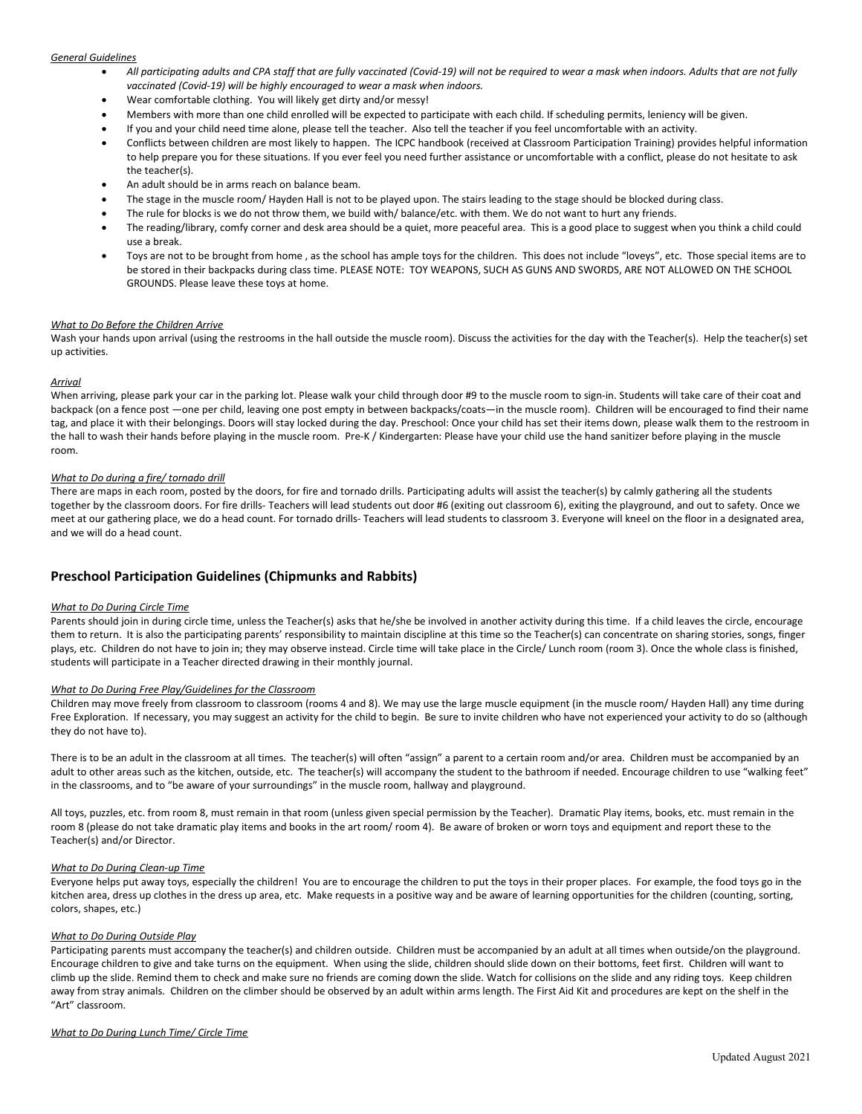## *General Guidelines*

- *All participating adults and CPA staff that are fully vaccinated (Covid-19) will not be required to wear a mask when indoors. Adults that are not fully vaccinated (Covid-19) will be highly encouraged to wear a mask when indoors.*
- Wear comfortable clothing. You will likely get dirty and/or messy!
- Members with more than one child enrolled will be expected to participate with each child. If scheduling permits, leniency will be given.
- If you and your child need time alone, please tell the teacher. Also tell the teacher if you feel uncomfortable with an activity.
- Conflicts between children are most likely to happen. The ICPC handbook (received at Classroom Participation Training) provides helpful information to help prepare you for these situations. If you ever feel you need further assistance or uncomfortable with a conflict, please do not hesitate to ask the teacher(s).
- An adult should be in arms reach on balance beam.
- The stage in the muscle room/ Hayden Hall is not to be played upon. The stairs leading to the stage should be blocked during class.
- The rule for blocks is we do not throw them, we build with/ balance/etc. with them. We do not want to hurt any friends.
- The reading/library, comfy corner and desk area should be a quiet, more peaceful area. This is a good place to suggest when you think a child could use a break.
- Toys are not to be brought from home , as the school has ample toys for the children. This does not include "loveys", etc. Those special items are to be stored in their backpacks during class time. PLEASE NOTE: TOY WEAPONS, SUCH AS GUNS AND SWORDS, ARE NOT ALLOWED ON THE SCHOOL GROUNDS. Please leave these toys at home.

#### *What to Do Before the Children Arrive*

Wash your hands upon arrival (using the restrooms in the hall outside the muscle room). Discuss the activities for the day with the Teacher(s). Help the teacher(s) set up activities.

#### *Arrival*

When arriving, please park your car in the parking lot. Please walk your child through door #9 to the muscle room to sign-in. Students will take care of their coat and backpack (on a fence post —one per child, leaving one post empty in between backpacks/coats—in the muscle room). Children will be encouraged to find their name tag, and place it with their belongings. Doors will stay locked during the day. Preschool: Once your child has set their items down, please walk them to the restroom in the hall to wash their hands before playing in the muscle room. Pre-K / Kindergarten: Please have your child use the hand sanitizer before playing in the muscle room.

#### *What to Do during a fire/ tornado drill*

There are maps in each room, posted by the doors, for fire and tornado drills. Participating adults will assist the teacher(s) by calmly gathering all the students together by the classroom doors. For fire drills- Teachers will lead students out door #6 (exiting out classroom 6), exiting the playground, and out to safety. Once we meet at our gathering place, we do a head count. For tornado drills- Teachers will lead students to classroom 3. Everyone will kneel on the floor in a designated area, and we will do a head count.

# **Preschool Participation Guidelines (Chipmunks and Rabbits)**

#### *What to Do During Circle Time*

Parents should join in during circle time, unless the Teacher(s) asks that he/she be involved in another activity during this time. If a child leaves the circle, encourage them to return. It is also the participating parents' responsibility to maintain discipline at this time so the Teacher(s) can concentrate on sharing stories, songs, finger plays, etc. Children do not have to join in; they may observe instead. Circle time will take place in the Circle/ Lunch room (room 3). Once the whole class is finished, students will participate in a Teacher directed drawing in their monthly journal.

#### *What to Do During Free Play/Guidelines for the Classroom*

Children may move freely from classroom to classroom (rooms 4 and 8). We may use the large muscle equipment (in the muscle room/ Hayden Hall) any time during Free Exploration. If necessary, you may suggest an activity for the child to begin. Be sure to invite children who have not experienced your activity to do so (although they do not have to).

There is to be an adult in the classroom at all times. The teacher(s) will often "assign" a parent to a certain room and/or area. Children must be accompanied by an adult to other areas such as the kitchen, outside, etc. The teacher(s) will accompany the student to the bathroom if needed. Encourage children to use "walking feet" in the classrooms, and to "be aware of your surroundings" in the muscle room, hallway and playground.

All toys, puzzles, etc. from room 8, must remain in that room (unless given special permission by the Teacher). Dramatic Play items, books, etc. must remain in the room 8 (please do not take dramatic play items and books in the art room/ room 4). Be aware of broken or worn toys and equipment and report these to the Teacher(s) and/or Director.

#### *What to Do During Clean-up Time*

Everyone helps put away toys, especially the children! You are to encourage the children to put the toys in their proper places. For example, the food toys go in the kitchen area, dress up clothes in the dress up area, etc. Make requests in a positive way and be aware of learning opportunities for the children (counting, sorting, colors, shapes, etc.)

#### *What to Do During Outside Play*

Participating parents must accompany the teacher(s) and children outside. Children must be accompanied by an adult at all times when outside/on the playground. Encourage children to give and take turns on the equipment. When using the slide, children should slide down on their bottoms, feet first. Children will want to climb up the slide. Remind them to check and make sure no friends are coming down the slide. Watch for collisions on the slide and any riding toys. Keep children away from stray animals. Children on the climber should be observed by an adult within arms length. The First Aid Kit and procedures are kept on the shelf in the "Art" classroom.

#### *What to Do During Lunch Time/ Circle Time*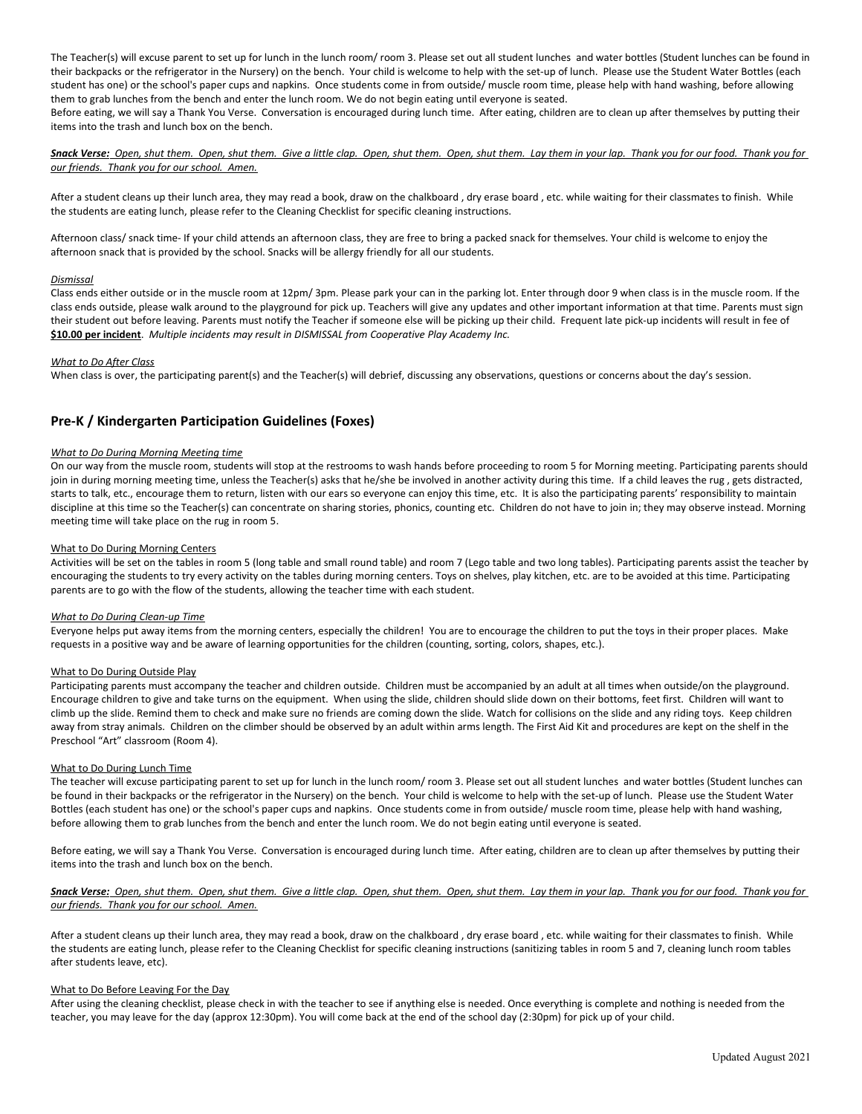The Teacher(s) will excuse parent to set up for lunch in the lunch room/ room 3. Please set out all student lunches and water bottles (Student lunches can be found in their backpacks or the refrigerator in the Nursery) on the bench. Your child is welcome to help with the set-up of lunch. Please use the Student Water Bottles (each student has one) or the school's paper cups and napkins. Once students come in from outside/ muscle room time, please help with hand washing, before allowing them to grab lunches from the bench and enter the lunch room. We do not begin eating until everyone is seated.

Before eating, we will say a Thank You Verse. Conversation is encouraged during lunch time. After eating, children are to clean up after themselves by putting their items into the trash and lunch box on the bench.

## *Snack Verse: Open, shut them. Open, shut them. Give a little clap. Open, shut them. Open, shut them. Lay them in your lap. Thank you for our food. Thank you for our friends. Thank you for our school. Amen.*

After a student cleans up their lunch area, they may read a book, draw on the chalkboard , dry erase board , etc. while waiting for their classmates to finish. While the students are eating lunch, please refer to the Cleaning Checklist for specific cleaning instructions.

Afternoon class/ snack time- If your child attends an afternoon class, they are free to bring a packed snack for themselves. Your child is welcome to enjoy the afternoon snack that is provided by the school. Snacks will be allergy friendly for all our students.

## *Dismissal*

Class ends either outside or in the muscle room at 12pm/ 3pm. Please park your can in the parking lot. Enter through door 9 when class is in the muscle room. If the class ends outside, please walk around to the playground for pick up. Teachers will give any updates and other important information at that time. Parents must sign their student out before leaving. Parents must notify the Teacher if someone else will be picking up their child. Frequent late pick-up incidents will result in fee of  **\$10.00 per incident**. *Multiple incidents may result in DISMISSAL from Cooperative Play Academy Inc.* 

#### *What to Do After Class*

When class is over, the participating parent(s) and the Teacher(s) will debrief, discussing any observations, questions or concerns about the day's session.

# **Pre-K / Kindergarten Participation Guidelines (Foxes)**

## *What to Do During Morning Meeting time*

On our way from the muscle room, students will stop at the restrooms to wash hands before proceeding to room 5 for Morning meeting. Participating parents should join in during morning meeting time, unless the Teacher(s) asks that he/she be involved in another activity during this time. If a child leaves the rug, gets distracted, starts to talk, etc., encourage them to return, listen with our ears so everyone can enjoy this time, etc. It is also the participating parents' responsibility to maintain discipline at this time so the Teacher(s) can concentrate on sharing stories, phonics, counting etc. Children do not have to join in; they may observe instead. Morning meeting time will take place on the rug in room 5.

#### What to Do During Morning Centers

Activities will be set on the tables in room 5 (long table and small round table) and room 7 (Lego table and two long tables). Participating parents assist the teacher by encouraging the students to try every activity on the tables during morning centers. Toys on shelves, play kitchen, etc. are to be avoided at this time. Participating parents are to go with the flow of the students, allowing the teacher time with each student.

#### *What to Do During Clean-up Time*

Everyone helps put away items from the morning centers, especially the children! You are to encourage the children to put the toys in their proper places. Make requests in a positive way and be aware of learning opportunities for the children (counting, sorting, colors, shapes, etc.).

#### What to Do During Outside Play

Participating parents must accompany the teacher and children outside. Children must be accompanied by an adult at all times when outside/on the playground. Encourage children to give and take turns on the equipment. When using the slide, children should slide down on their bottoms, feet first. Children will want to climb up the slide. Remind them to check and make sure no friends are coming down the slide. Watch for collisions on the slide and any riding toys. Keep children away from stray animals. Children on the climber should be observed by an adult within arms length. The First Aid Kit and procedures are kept on the shelf in the Preschool "Art" classroom (Room 4).

#### What to Do During Lunch Time

The teacher will excuse participating parent to set up for lunch in the lunch room/ room 3. Please set out all student lunches and water bottles (Student lunches can be found in their backpacks or the refrigerator in the Nursery) on the bench. Your child is welcome to help with the set-up of lunch. Please use the Student Water Bottles (each student has one) or the school's paper cups and napkins. Once students come in from outside/ muscle room time, please help with hand washing, before allowing them to grab lunches from the bench and enter the lunch room. We do not begin eating until everyone is seated.

Before eating, we will say a Thank You Verse. Conversation is encouraged during lunch time. After eating, children are to clean up after themselves by putting their items into the trash and lunch box on the bench.

## *Snack Verse: Open, shut them. Open, shut them. Give a little clap. Open, shut them. Open, shut them. Lay them in your lap. Thank you for our food. Thank you for our friends. Thank you for our school. Amen.*

After a student cleans up their lunch area, they may read a book, draw on the chalkboard , dry erase board , etc. while waiting for their classmates to finish. While the students are eating lunch, please refer to the Cleaning Checklist for specific cleaning instructions (sanitizing tables in room 5 and 7, cleaning lunch room tables after students leave, etc).

#### What to Do Before Leaving For the Day

After using the cleaning checklist, please check in with the teacher to see if anything else is needed. Once everything is complete and nothing is needed from the teacher, you may leave for the day (approx 12:30pm). You will come back at the end of the school day (2:30pm) for pick up of your child.